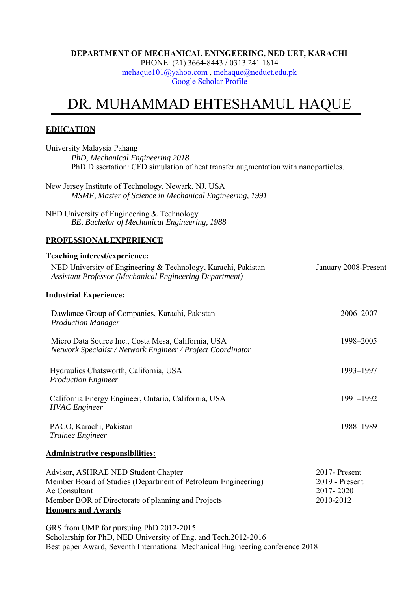#### **DEPARTMENT OF MECHANICAL ENINGEERING, NED UET, KARACHI**  PHONE: (21) 3664-8443 / 0313 241 1814 mehaque101@yahoo.com , mehaque@neduet.edu.pk Google Scholar Profile

# DR. MUHAMMAD EHTESHAMUL HAQUE

## **EDUCATION**

| University Malaysia Pahang<br>PhD, Mechanical Engineering 2018<br>PhD Dissertation: CFD simulation of heat transfer augmentation with nanoparticles.                        |                                                           |
|-----------------------------------------------------------------------------------------------------------------------------------------------------------------------------|-----------------------------------------------------------|
| New Jersey Institute of Technology, Newark, NJ, USA<br>MSME, Master of Science in Mechanical Engineering, 1991                                                              |                                                           |
| NED University of Engineering & Technology<br>BE, Bachelor of Mechanical Engineering, 1988                                                                                  |                                                           |
| PROFESSIONAL EXPERIENCE                                                                                                                                                     |                                                           |
| Teaching interest/experience:                                                                                                                                               |                                                           |
| NED University of Engineering & Technology, Karachi, Pakistan<br><b>Assistant Professor (Mechanical Engineering Department)</b>                                             | January 2008-Present                                      |
| <b>Industrial Experience:</b>                                                                                                                                               |                                                           |
| Dawlance Group of Companies, Karachi, Pakistan<br><b>Production Manager</b>                                                                                                 | 2006-2007                                                 |
| Micro Data Source Inc., Costa Mesa, California, USA<br>Network Specialist / Network Engineer / Project Coordinator                                                          | 1998-2005                                                 |
| Hydraulics Chatsworth, California, USA<br><b>Production Engineer</b>                                                                                                        | 1993-1997                                                 |
| California Energy Engineer, Ontario, California, USA<br><b>HVAC</b> Engineer                                                                                                | 1991-1992                                                 |
| PACO, Karachi, Pakistan<br>Trainee Engineer                                                                                                                                 | 1988-1989                                                 |
| Administrative responsibilities:                                                                                                                                            |                                                           |
| Advisor, ASHRAE NED Student Chapter<br>Member Board of Studies (Department of Petroleum Engineering)<br>Ac Consultant<br>Member BOR of Directorate of planning and Projects | 2017- Present<br>2019 - Present<br>2017-2020<br>2010-2012 |

**Honours and Awards**

GRS from UMP for pursuing PhD 2012-2015 Scholarship for PhD, NED University of Eng. and Tech.2012-2016 Best paper Award, Seventh International Mechanical Engineering conference 2018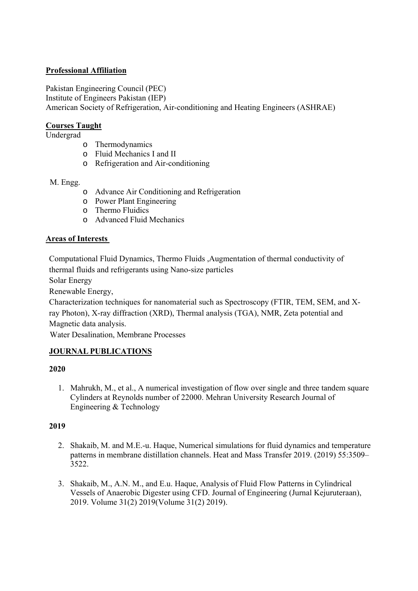# **Professional Affiliation**

Pakistan Engineering Council (PEC) Institute of Engineers Pakistan (IEP) American Society of Refrigeration, Air-conditioning and Heating Engineers (ASHRAE)

# **Courses Taught**

Undergrad

- o Thermodynamics
- o Fluid Mechanics I and II
- o Refrigeration and Air-conditioning

M. Engg.

- o Advance Air Conditioning and Refrigeration
- o Power Plant Engineering
- o Thermo Fluidics
- o Advanced Fluid Mechanics

# **Areas of Interests**

Computational Fluid Dynamics, Thermo Fluids ,Augmentation of thermal conductivity of thermal fluids and refrigerants using Nano-size particles

Solar Energy

Renewable Energy,

Characterization techniques for nanomaterial such as Spectroscopy (FTIR, TEM, SEM, and Xray Photon), X-ray diffraction (XRD), Thermal analysis (TGA), NMR, Zeta potential and Magnetic data analysis.

Water Desalination, Membrane Processes

## **JOURNAL PUBLICATIONS**

## **2020**

1. Mahrukh, M., et al., A numerical investigation of flow over single and three tandem square Cylinders at Reynolds number of 22000. Mehran University Research Journal of Engineering & Technology

## **2019**

- 2. Shakaib, M. and M.E.-u. Haque, Numerical simulations for fluid dynamics and temperature patterns in membrane distillation channels. Heat and Mass Transfer 2019. (2019) 55:3509– 3522.
- 3. Shakaib, M., A.N. M., and E.u. Haque, Analysis of Fluid Flow Patterns in Cylindrical Vessels of Anaerobic Digester using CFD. Journal of Engineering (Jurnal Kejuruteraan), 2019. Volume 31(2) 2019(Volume 31(2) 2019).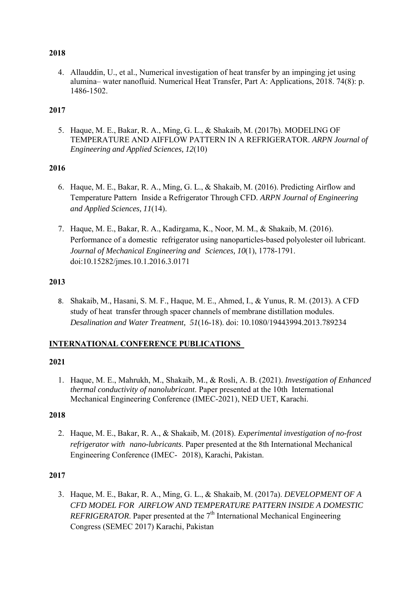#### **2018**

4. Allauddin, U., et al., Numerical investigation of heat transfer by an impinging jet using alumina– water nanofluid. Numerical Heat Transfer, Part A: Applications, 2018. 74(8): p. 1486-1502.

## **2017**

5. Haque, M. E., Bakar, R. A., Ming, G. L., & Shakaib, M. (2017b). MODELING OF TEMPERATURE AND AIFFLOW PATTERN IN A REFRIGERATOR. *ARPN Journal of Engineering and Applied Sciences, 12*(10)

#### **2016**

- 6. Haque, M. E., Bakar, R. A., Ming, G. L., & Shakaib, M. (2016). Predicting Airflow and Temperature Pattern Inside a Refrigerator Through CFD. *ARPN Journal of Engineering and Applied Sciences, 11*(14).
- 7. Haque, M. E., Bakar, R. A., Kadirgama, K., Noor, M. M., & Shakaib, M. (2016). Performance of a domestic refrigerator using nanoparticles-based polyolester oil lubricant. *Journal of Mechanical Engineering and Sciences, 10*(1), 1778-1791. doi:10.15282/jmes.10.1.2016.3.0171

#### **2013**

8. Shakaib, M., Hasani, S. M. F., Haque, M. E., Ahmed, I., & Yunus, R. M. (2013). A CFD study of heat transfer through spacer channels of membrane distillation modules. *Desalination and Water Treatment, 51*(16-18). doi: 10.1080/19443994.2013.789234

## **INTERNATIONAL CONFERENCE PUBLICATIONS**

#### **2021**

1. Haque, M. E., Mahrukh, M., Shakaib, M., & Rosli, A. B. (2021). *Investigation of Enhanced thermal conductivity of nanolubricant*. Paper presented at the 10th International Mechanical Engineering Conference (IMEC-2021), NED UET, Karachi.

#### **2018**

2. Haque, M. E., Bakar, R. A., & Shakaib, M. (2018). *Experimental investigation of no-frost refrigerator with nano-lubricants*. Paper presented at the 8th International Mechanical Engineering Conference (IMEC- 2018), Karachi, Pakistan.

## **2017**

3. Haque, M. E., Bakar, R. A., Ming, G. L., & Shakaib, M. (2017a). *DEVELOPMENT OF A CFD MODEL FOR AIRFLOW AND TEMPERATURE PATTERN INSIDE A DOMESTIC REFRIGERATOR*. Paper presented at the  $7<sup>th</sup>$  International Mechanical Engineering Congress (SEMEC 2017) Karachi, Pakistan